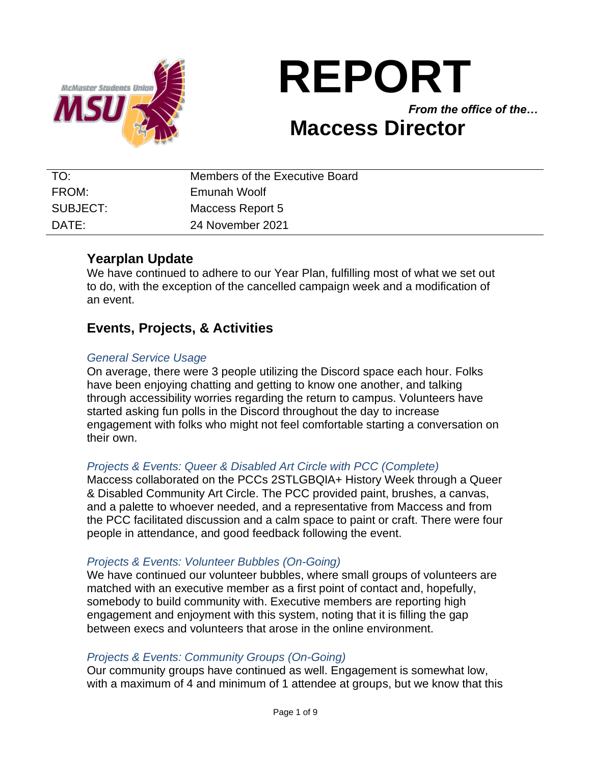

# **REPORT**

*From the office of the…*

## **Maccess Director**

| TO:      | Members of the Executive Board |
|----------|--------------------------------|
| FROM:    | Emunah Woolf                   |
| SUBJECT: | Maccess Report 5               |
| DATE:    | 24 November 2021               |

#### **Yearplan Update**

We have continued to adhere to our Year Plan, fulfilling most of what we set out to do, with the exception of the cancelled campaign week and a modification of an event.

#### **Events, Projects, & Activities**

#### *General Service Usage*

On average, there were 3 people utilizing the Discord space each hour. Folks have been enjoying chatting and getting to know one another, and talking through accessibility worries regarding the return to campus. Volunteers have started asking fun polls in the Discord throughout the day to increase engagement with folks who might not feel comfortable starting a conversation on their own.

#### *Projects & Events: Queer & Disabled Art Circle with PCC (Complete)*

Maccess collaborated on the PCCs 2STLGBQIA+ History Week through a Queer & Disabled Community Art Circle. The PCC provided paint, brushes, a canvas, and a palette to whoever needed, and a representative from Maccess and from the PCC facilitated discussion and a calm space to paint or craft. There were four people in attendance, and good feedback following the event.

#### *Projects & Events: Volunteer Bubbles (On-Going)*

We have continued our volunteer bubbles, where small groups of volunteers are matched with an executive member as a first point of contact and, hopefully, somebody to build community with. Executive members are reporting high engagement and enjoyment with this system, noting that it is filling the gap between execs and volunteers that arose in the online environment.

#### *Projects & Events: Community Groups (On-Going)*

Our community groups have continued as well. Engagement is somewhat low, with a maximum of 4 and minimum of 1 attendee at groups, but we know that this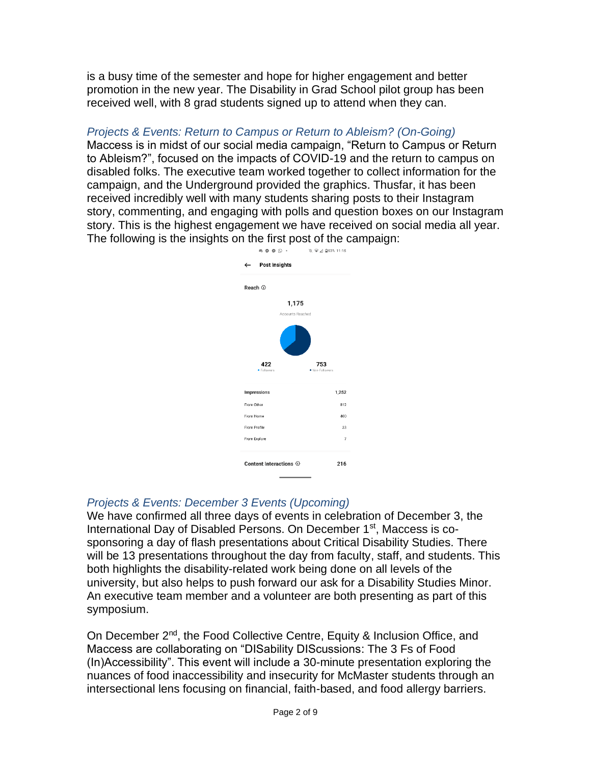is a busy time of the semester and hope for higher engagement and better promotion in the new year. The Disability in Grad School pilot group has been received well, with 8 grad students signed up to attend when they can.

#### *Projects & Events: Return to Campus or Return to Ableism? (On-Going)*

Maccess is in midst of our social media campaign, "Return to Campus or Return to Ableism?", focused on the impacts of COVID-19 and the return to campus on disabled folks. The executive team worked together to collect information for the campaign, and the Underground provided the graphics. Thusfar, it has been received incredibly well with many students sharing posts to their Instagram story, commenting, and engaging with polls and question boxes on our Instagram story. This is the highest engagement we have received on social media all year. The following is the insights on the first post of the campaign:



#### *Projects & Events: December 3 Events (Upcoming)*

We have confirmed all three days of events in celebration of December 3, the International Day of Disabled Persons. On December 1<sup>st</sup>, Maccess is cosponsoring a day of flash presentations about Critical Disability Studies. There will be 13 presentations throughout the day from faculty, staff, and students. This both highlights the disability-related work being done on all levels of the university, but also helps to push forward our ask for a Disability Studies Minor. An executive team member and a volunteer are both presenting as part of this symposium.

On December 2<sup>nd</sup>, the Food Collective Centre, Equity & Inclusion Office, and Maccess are collaborating on "DISability DIScussions: The 3 Fs of Food (In)Accessibility". This event will include a 30-minute presentation exploring the nuances of food inaccessibility and insecurity for McMaster students through an intersectional lens focusing on financial, faith-based, and food allergy barriers.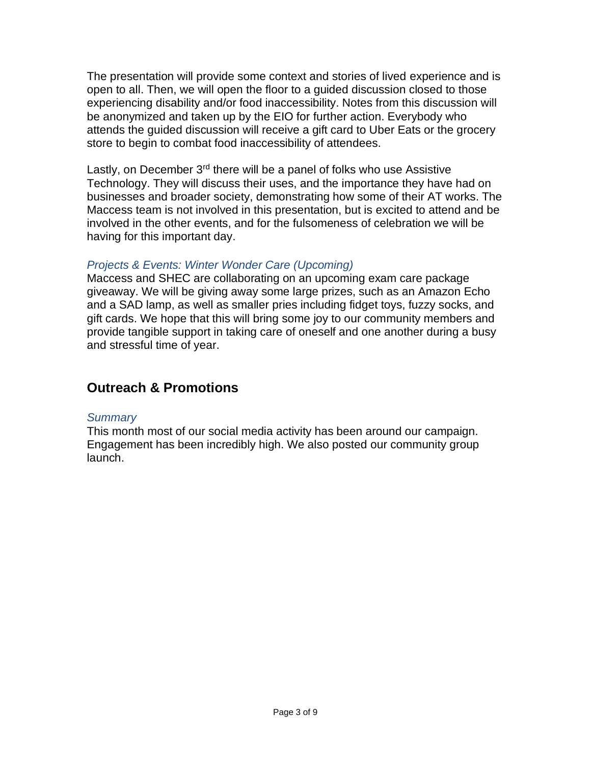The presentation will provide some context and stories of lived experience and is open to all. Then, we will open the floor to a guided discussion closed to those experiencing disability and/or food inaccessibility. Notes from this discussion will be anonymized and taken up by the EIO for further action. Everybody who attends the guided discussion will receive a gift card to Uber Eats or the grocery store to begin to combat food inaccessibility of attendees.

Lastly, on December  $3<sup>rd</sup>$  there will be a panel of folks who use Assistive Technology. They will discuss their uses, and the importance they have had on businesses and broader society, demonstrating how some of their AT works. The Maccess team is not involved in this presentation, but is excited to attend and be involved in the other events, and for the fulsomeness of celebration we will be having for this important day.

#### *Projects & Events: Winter Wonder Care (Upcoming)*

Maccess and SHEC are collaborating on an upcoming exam care package giveaway. We will be giving away some large prizes, such as an Amazon Echo and a SAD lamp, as well as smaller pries including fidget toys, fuzzy socks, and gift cards. We hope that this will bring some joy to our community members and provide tangible support in taking care of oneself and one another during a busy and stressful time of year.

### **Outreach & Promotions**

#### *Summary*

This month most of our social media activity has been around our campaign. Engagement has been incredibly high. We also posted our community group launch.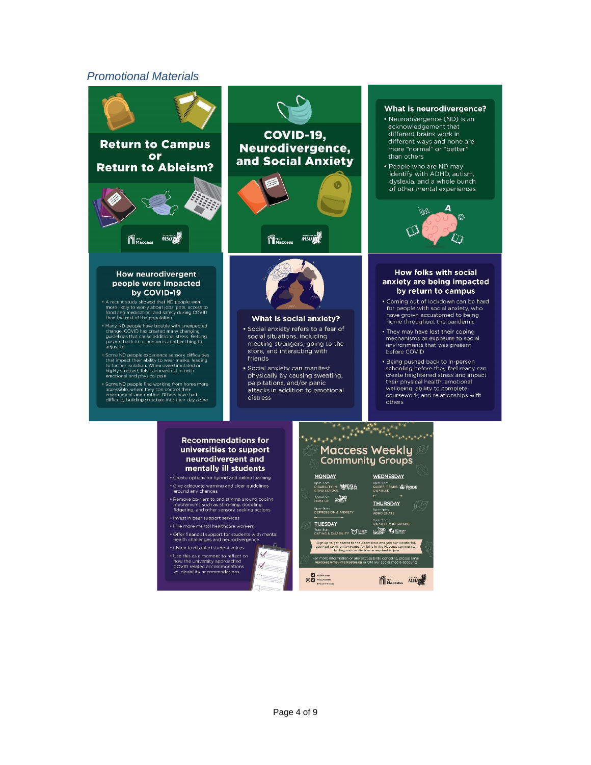#### *Promotional Materials*



**D** HSUNGERS<br> **OD** HSUNGERS

MMaccess MSURE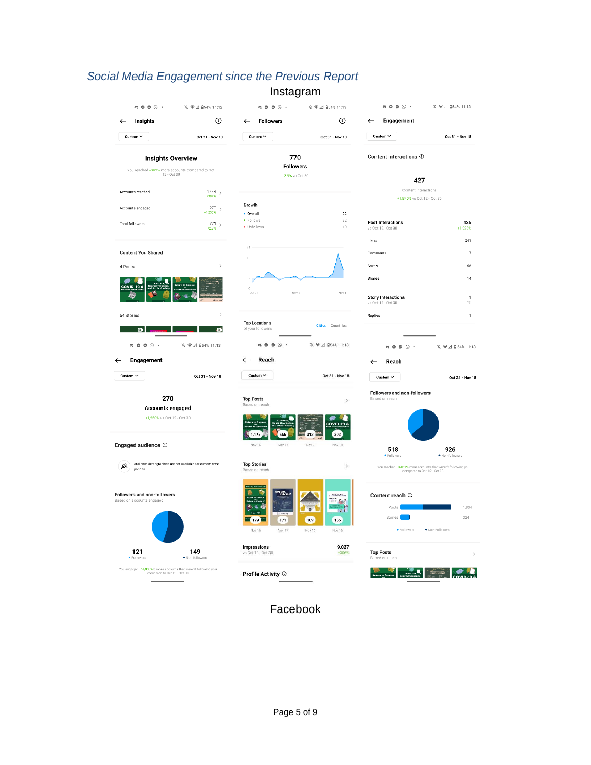#### *Social Media Engagement since the Previous Report* Instagram

| $\begin{array}{ccccccccccccc} \circ & \circ & \circ & \circ & \circ & \cdot \end{array}$      | 12 ♥ △ 自54% 11:12                                       | -- 7<br>$\begin{array}{ccccccccccccccccc} \alpha & \circ & \circ & \circ & \circ & \cdot \end{array}$ | 12 ♥ △ 自54% 11:13              | $\circledcirc$ $\circledcirc$ $\circledcirc$ $\cdot$                                                        | 10. ♥ ⊿ 自54% 11:13                |  |
|-----------------------------------------------------------------------------------------------|---------------------------------------------------------|-------------------------------------------------------------------------------------------------------|--------------------------------|-------------------------------------------------------------------------------------------------------------|-----------------------------------|--|
| Insights<br>$\leftarrow$                                                                      | ⊙                                                       | <b>Followers</b><br>$\leftarrow$                                                                      | ⊙                              | Engagement<br>$\leftarrow$                                                                                  |                                   |  |
| Custom $\sim$                                                                                 | Oct 31 - Nov 18                                         | Custom $\sim$                                                                                         | Oct 31 - Nov 18                | Custom $\sim$                                                                                               | Oct 31 - Nov 18                   |  |
| <b>Insights Overview</b>                                                                      |                                                         |                                                                                                       | 770                            |                                                                                                             | Content interactions <sup>①</sup> |  |
| You reached +3B2% more accounts compared to Oct<br>12 - Oct 30                                |                                                         | <b>Followers</b><br>+2.9% vs Oct 30                                                                   |                                | 427                                                                                                         |                                   |  |
| Accounts reached                                                                              | $1,444$ >                                               | Content Interactions                                                                                  |                                |                                                                                                             |                                   |  |
|                                                                                               | $+382%$                                                 | Growth                                                                                                |                                | +1,840% vs Oct 12 - Oct 30                                                                                  |                                   |  |
| Accounts engaged                                                                              | $^{270}$ $\,$<br>$+1,250%$                              | • Overall                                                                                             | 22                             |                                                                                                             |                                   |  |
| <b>Total followers</b>                                                                        | $^{771}$ ><br>$+2.9%$                                   | • Follows<br>· Unfollows                                                                              | 32<br>10                       | <b>Post Interactions</b><br>vs Oct 12 - Oct 30                                                              | 426<br>$+1,928%$                  |  |
|                                                                                               |                                                         | 15                                                                                                    |                                | Likes                                                                                                       | 341                               |  |
| <b>Content You Shared</b>                                                                     |                                                         | 'n                                                                                                    |                                | Comments                                                                                                    | $\bar{7}$                         |  |
| 4 Posts                                                                                       | $\rightarrow$                                           |                                                                                                       |                                | Saves                                                                                                       | 56                                |  |
|                                                                                               |                                                         |                                                                                                       |                                | Shares                                                                                                      | 14                                |  |
|                                                                                               |                                                         | 30131<br>Nov 8                                                                                        | Nov 11                         | <b>Story Interactions</b><br>vs Oct 12 - Oct 30                                                             | $\mathbf{1}$<br>0%                |  |
| 54 Stories                                                                                    | $\rightarrow$                                           |                                                                                                       |                                | Replies                                                                                                     | $\mathbf{1}$                      |  |
| oıl                                                                                           | (O)                                                     | <b>Top Locations</b><br>of your followers                                                             | <b>Cities</b> Countries        |                                                                                                             |                                   |  |
| $\alpha$ 0 0 $\odot$ .                                                                        | ※ ●⊿ 自54% 11:13                                         | $\mathfrak{a} \circ \mathfrak{a} \circ \cdots$                                                        | ₩ ₹ 4 854% 11:13               | $\mathfrak{a} \circ \mathfrak{a} \circ \cdots$                                                              | 攻 ♥⊿ ■54% 11:13                   |  |
| Engagement<br>$\leftarrow$                                                                    |                                                         | Reach<br>$\leftarrow$                                                                                 |                                | Reach<br>$\leftarrow$                                                                                       |                                   |  |
| Custom $\sim$                                                                                 | Oct 31 - Nov 18                                         | Custom V                                                                                              | Oct 31 - Nov 18                | Custom $\sim$                                                                                               | Oct 31 - Nov 18                   |  |
| 270                                                                                           |                                                         | <b>Top Posts</b>                                                                                      | $\rightarrow$                  | Followers and non-followers<br>Based on reach                                                               |                                   |  |
| Accounts engaged                                                                              |                                                         | Based on reach                                                                                        |                                |                                                                                                             |                                   |  |
| +1,250% vs Oct 12 - Oct 30                                                                    |                                                         | 1,175<br>556                                                                                          | COVID-198<br>313<br>303        |                                                                                                             |                                   |  |
| Engaged audience <sup>1</sup>                                                                 |                                                         | Nov 16<br>Nov 17                                                                                      | Nov 3<br>Nov 18                | 518                                                                                                         | 926                               |  |
| 23<br>periods.                                                                                | Audience demographics are not available for custom time | <b>Top Stories</b><br>Based on reach                                                                  | $\rightarrow$                  | · Followers<br>You reached +3,461% more accounts that weren't following you<br>compared to Oct 12 - Oct 30. | · Non-followers                   |  |
|                                                                                               |                                                         |                                                                                                       |                                |                                                                                                             |                                   |  |
| <b>Followers and non-followers</b><br>Based on accounts engaged                               |                                                         |                                                                                                       | AUGUSTICA UN<br><b>ERL</b>     | Content reach ©                                                                                             |                                   |  |
|                                                                                               |                                                         |                                                                                                       | 医非                             | Posts<br>Stories                                                                                            | 1,804<br>324                      |  |
|                                                                                               |                                                         | <b>EXT</b> 179<br>171<br>Nov 17<br>Nov 16                                                             | 169<br>165<br>Nov 16<br>Nov 16 | · Followers                                                                                                 | · Non-Followers                   |  |
|                                                                                               |                                                         | <b>Impressions</b>                                                                                    | 9.027                          |                                                                                                             |                                   |  |
| 121<br>· Followers                                                                            | 149<br>· Non-followers                                  | vs Oct 12 - Oct 30                                                                                    | $+306%$                        | <b>Top Posts</b><br>Based on reach                                                                          | $\mathcal{P}$                     |  |
| You engaged +14,800%% more accounts that weren't following you<br>compared to Oct 12 - Oct 30 |                                                         | Profile Activity ©                                                                                    |                                |                                                                                                             |                                   |  |
|                                                                                               |                                                         |                                                                                                       |                                |                                                                                                             |                                   |  |

Facebook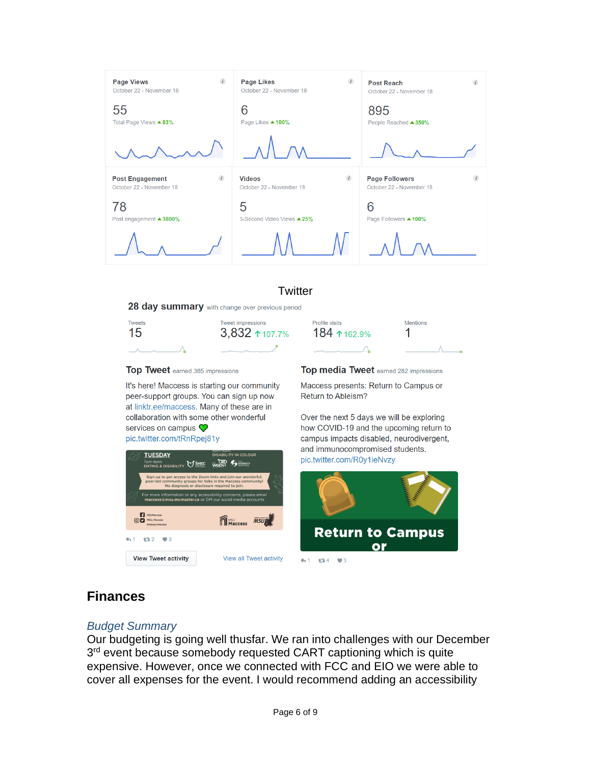

#### **Twitter**

28 day summary with change over previous period



Top Tweet earned 385 impressions

It's here! Maccess is starting our community peer-support groups. You can sign up now at linktr.ee/maccess. Many of these are in collaboration with some other wonderful services on campus  $\heartsuit$ 

pic.twitter.com/tRnRpej81y



Top media Tweet earned 282 impressions

Maccess presents: Return to Campus or Return to Ableism?

Over the next 5 days we will be exploring how COVID-19 and the upcoming return to campus impacts disabled, neurodivergent, and immunocompromised students. pic.twitter.com/R0y1ieNvzy



#### **Finances**

#### *Budget Summary*

Our budgeting is going well thusfar. We ran into challenges with our December 3<sup>rd</sup> event because somebody requested CART captioning which is quite expensive. However, once we connected with FCC and EIO we were able to cover all expenses for the event. I would recommend adding an accessibility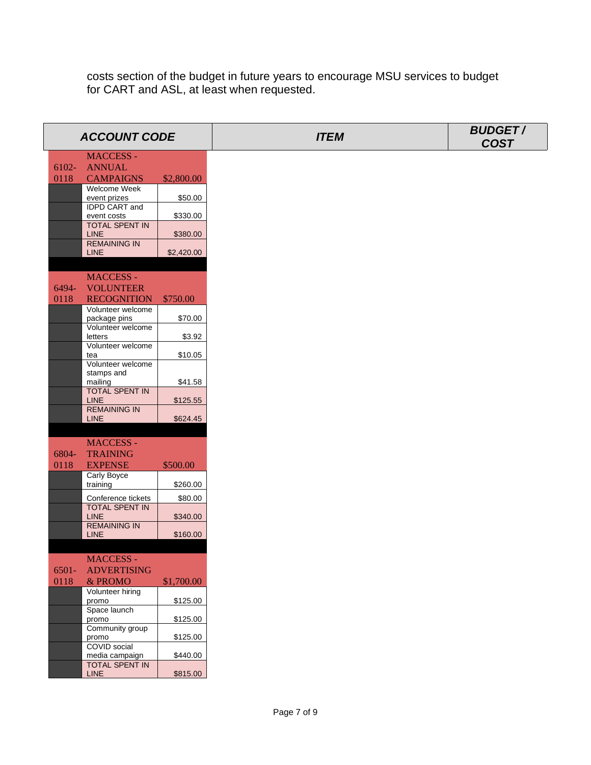costs section of the budget in future years to encourage MSU services to budget for CART and ASL, at least when requested.

|          | <b>ACCOUNT CODE</b>                |            | <b>ITEM</b> | <b>BUDGET/</b><br><b>COST</b> |
|----------|------------------------------------|------------|-------------|-------------------------------|
|          | <b>MACCESS -</b>                   |            |             |                               |
| 6102-    | <b>ANNUAL</b>                      |            |             |                               |
| 0118     | <b>CAMPAIGNS</b>                   | \$2,800.00 |             |                               |
|          | Welcome Week                       |            |             |                               |
|          | event prizes                       | \$50.00    |             |                               |
|          | IDPD CART and<br>event costs       | \$330.00   |             |                               |
|          | <b>TOTAL SPENT IN</b>              |            |             |                               |
|          | <b>LINE</b>                        | \$380.00   |             |                               |
|          | <b>REMAINING IN</b>                |            |             |                               |
|          | LINE                               | \$2,420.00 |             |                               |
|          |                                    |            |             |                               |
|          | <b>MACCESS -</b>                   |            |             |                               |
| 6494-    | <b>VOLUNTEER</b>                   |            |             |                               |
| 0118     | <b>RECOGNITION</b>                 | \$750.00   |             |                               |
|          | Volunteer welcome                  | \$70.00    |             |                               |
|          | package pins<br>Volunteer welcome  |            |             |                               |
|          | letters                            | \$3.92     |             |                               |
|          | Volunteer welcome                  |            |             |                               |
|          | tea                                | \$10.05    |             |                               |
|          | Volunteer welcome<br>stamps and    |            |             |                               |
|          | mailing                            | \$41.58    |             |                               |
|          | <b>TOTAL SPENT IN</b>              |            |             |                               |
|          | <b>LINE</b>                        | \$125.55   |             |                               |
|          | <b>REMAINING IN</b><br><b>LINE</b> | \$624.45   |             |                               |
|          |                                    |            |             |                               |
|          | <b>MACCESS -</b>                   |            |             |                               |
| 6804-    | <b>TRAINING</b>                    |            |             |                               |
| 0118     | <b>EXPENSE</b>                     | \$500.00   |             |                               |
|          | Carly Boyce                        |            |             |                               |
|          | training                           | \$260.00   |             |                               |
|          | Conference tickets                 | \$80.00    |             |                               |
|          | <b>TOTAL SPENT IN</b>              |            |             |                               |
|          | <b>LINE</b>                        | \$340.00   |             |                               |
|          | <b>REMAINING IN</b>                |            |             |                               |
|          | <b>LINE</b>                        | \$160.00   |             |                               |
|          |                                    |            |             |                               |
|          | MACCESS -                          |            |             |                               |
| $6501 -$ | <b>ADVERTISING</b>                 |            |             |                               |
| 0118     | & PROMO                            | \$1,700.00 |             |                               |
|          | Volunteer hiring<br>promo          | \$125.00   |             |                               |
|          | Space launch                       |            |             |                               |
|          | promo                              | \$125.00   |             |                               |
|          | Community group                    |            |             |                               |
|          | promo<br>COVID social              | \$125.00   |             |                               |
|          | media campaign                     | \$440.00   |             |                               |
|          | <b>TOTAL SPENT IN</b>              |            |             |                               |
|          | LINE                               | \$815.00   |             |                               |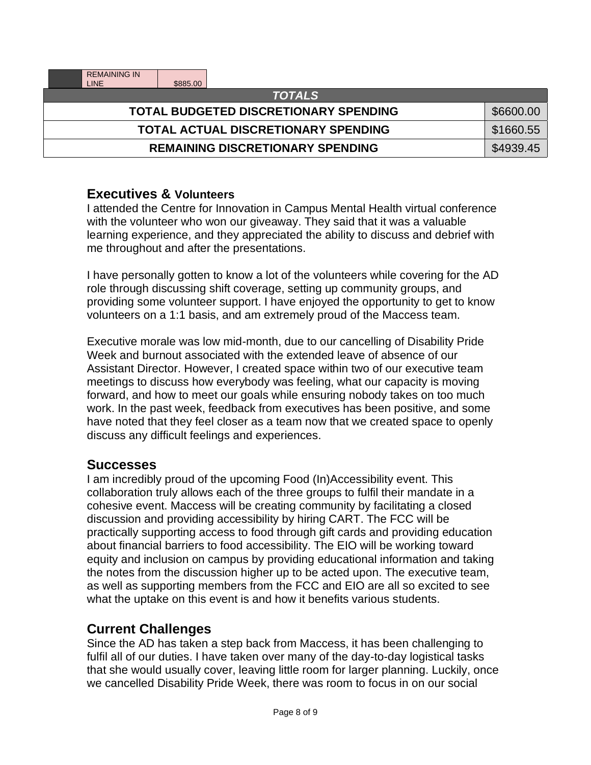| <b>REMAINING IN</b><br><b>LINE</b><br>\$885.00 |           |  |  |  |
|------------------------------------------------|-----------|--|--|--|
| <b>TOTALS</b>                                  |           |  |  |  |
| <b>TOTAL BUDGETED DISCRETIONARY SPENDING</b>   | \$6600.00 |  |  |  |
| <b>TOTAL ACTUAL DISCRETIONARY SPENDING</b>     | \$1660.55 |  |  |  |
| <b>REMAINING DISCRETIONARY SPENDING</b>        | \$4939.45 |  |  |  |

#### **Executives & Volunteers**

I attended the Centre for Innovation in Campus Mental Health virtual conference with the volunteer who won our giveaway. They said that it was a valuable learning experience, and they appreciated the ability to discuss and debrief with me throughout and after the presentations.

I have personally gotten to know a lot of the volunteers while covering for the AD role through discussing shift coverage, setting up community groups, and providing some volunteer support. I have enjoyed the opportunity to get to know volunteers on a 1:1 basis, and am extremely proud of the Maccess team.

Executive morale was low mid-month, due to our cancelling of Disability Pride Week and burnout associated with the extended leave of absence of our Assistant Director. However, I created space within two of our executive team meetings to discuss how everybody was feeling, what our capacity is moving forward, and how to meet our goals while ensuring nobody takes on too much work. In the past week, feedback from executives has been positive, and some have noted that they feel closer as a team now that we created space to openly discuss any difficult feelings and experiences.

#### **Successes**

I am incredibly proud of the upcoming Food (In)Accessibility event. This collaboration truly allows each of the three groups to fulfil their mandate in a cohesive event. Maccess will be creating community by facilitating a closed discussion and providing accessibility by hiring CART. The FCC will be practically supporting access to food through gift cards and providing education about financial barriers to food accessibility. The EIO will be working toward equity and inclusion on campus by providing educational information and taking the notes from the discussion higher up to be acted upon. The executive team, as well as supporting members from the FCC and EIO are all so excited to see what the uptake on this event is and how it benefits various students.

#### **Current Challenges**

Since the AD has taken a step back from Maccess, it has been challenging to fulfil all of our duties. I have taken over many of the day-to-day logistical tasks that she would usually cover, leaving little room for larger planning. Luckily, once we cancelled Disability Pride Week, there was room to focus in on our social